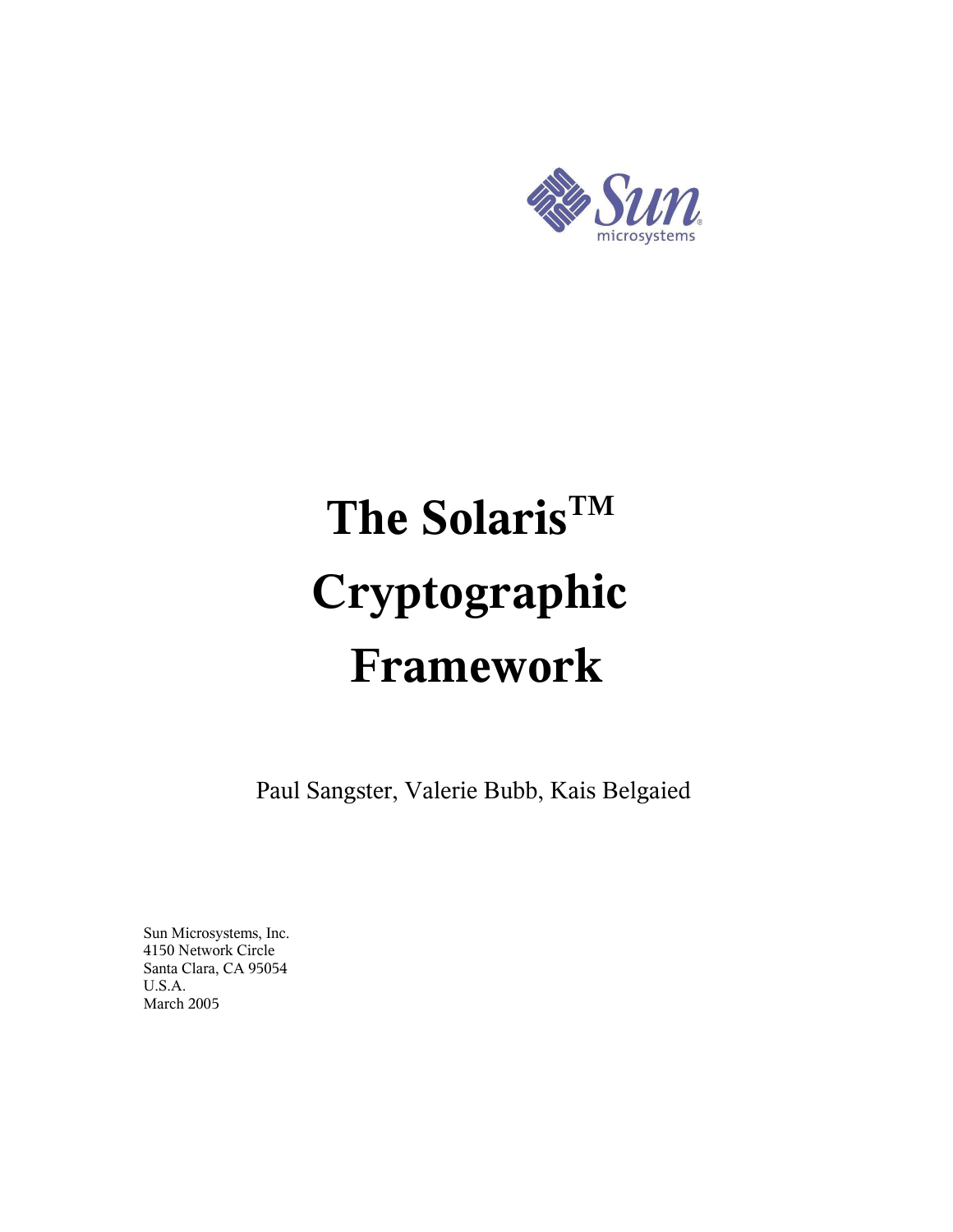

# $\text{The Solaris}^{\text{TM}}$ **Cryptographic Framework**

Paul Sangster, Valerie Bubb, Kais Belgaied

Sun Microsystems, Inc. 4150 Network Circle Santa Clara, CA 95054 U.S.A. March 2005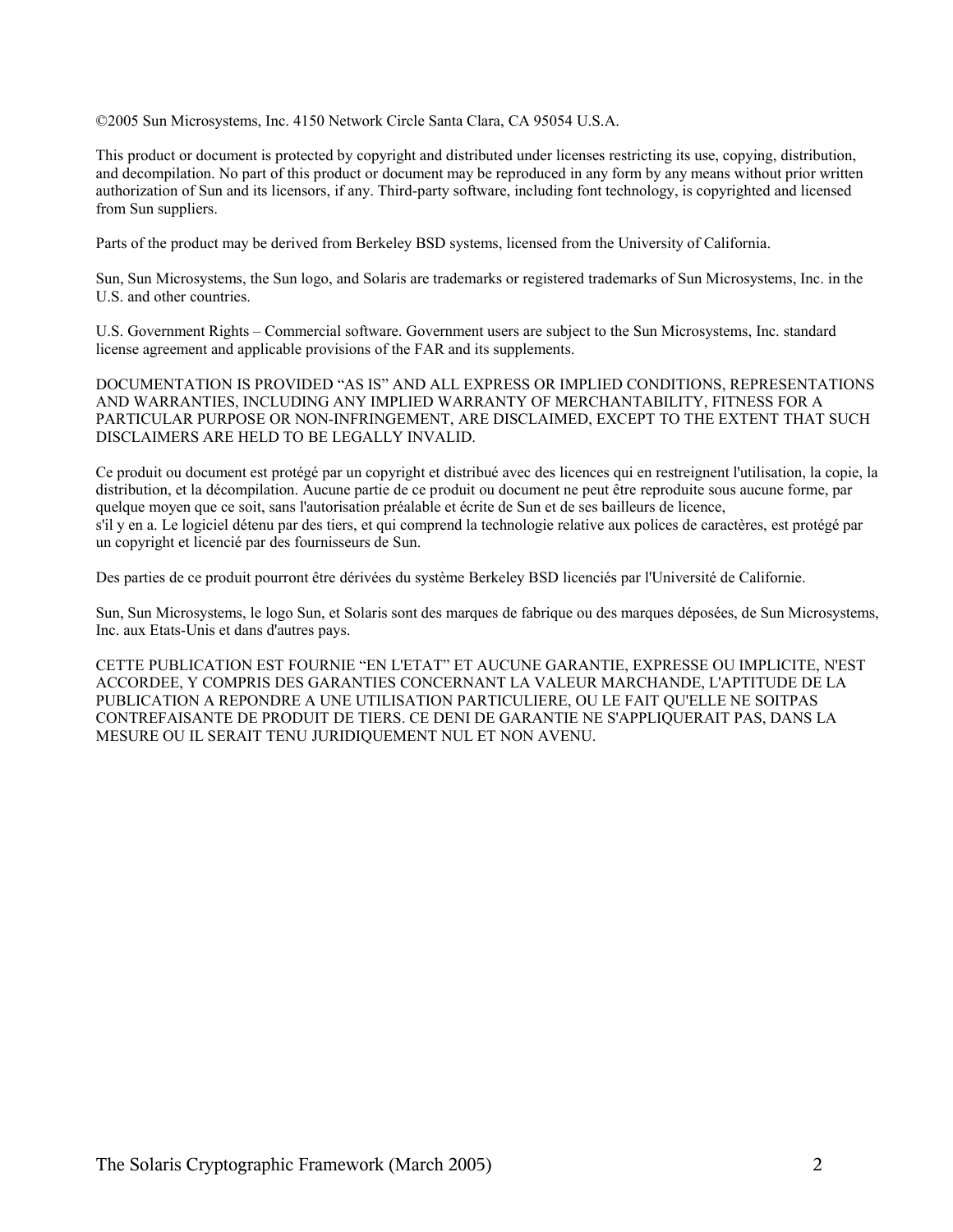©2005 Sun Microsystems, Inc. 4150 Network Circle Santa Clara, CA 95054 U.S.A.

This product or document is protected by copyright and distributed under licenses restricting its use, copying, distribution, and decompilation. No part of this product or document may be reproduced in any form by any means without prior written authorization of Sun and its licensors, if any. Third-party software, including font technology, is copyrighted and licensed from Sun suppliers.

Parts of the product may be derived from Berkeley BSD systems, licensed from the University of California.

Sun, Sun Microsystems, the Sun logo, and Solaris are trademarks or registered trademarks of Sun Microsystems, Inc. in the U.S. and other countries.

U.S. Government Rights – Commercial software. Government users are subject to the Sun Microsystems, Inc. standard license agreement and applicable provisions of the FAR and its supplements.

DOCUMENTATION IS PROVIDED "AS IS" AND ALL EXPRESS OR IMPLIED CONDITIONS, REPRESENTATIONS AND WARRANTIES, INCLUDING ANY IMPLIED WARRANTY OF MERCHANTABILITY, FITNESS FOR A PARTICULAR PURPOSE OR NON-INFRINGEMENT, ARE DISCLAIMED, EXCEPT TO THE EXTENT THAT SUCH DISCLAIMERS ARE HELD TO BE LEGALLY INVALID.

Ce produit ou document est protégé par un copyright et distribué avec des licences qui en restreignent l'utilisation, la copie, la distribution, et la décompilation. Aucune partie de ce produit ou document ne peut être reproduite sous aucune forme, par quelque moyen que ce soit, sans l'autorisation préalable et écrite de Sun et de ses bailleurs de licence, s'il y en a. Le logiciel détenu par des tiers, et qui comprend la technologie relative aux polices de caractères, est protégé par un copyright et licencié par des fournisseurs de Sun.

Des parties de ce produit pourront être dérivées du système Berkeley BSD licenciés par l'Université de Californie.

Sun, Sun Microsystems, le logo Sun, et Solaris sont des marques de fabrique ou des marques déposées, de Sun Microsystems, Inc. aux Etats-Unis et dans d'autres pays.

CETTE PUBLICATION EST FOURNIE "EN L'ETAT" ET AUCUNE GARANTIE, EXPRESSE OU IMPLICITE, N'EST ACCORDEE, Y COMPRIS DES GARANTIES CONCERNANT LA VALEUR MARCHANDE, L'APTITUDE DE LA PUBLICATION A REPONDRE A UNE UTILISATION PARTICULIERE, OU LE FAIT QU'ELLE NE SOITPAS CONTREFAISANTE DE PRODUIT DE TIERS. CE DENI DE GARANTIE NE S'APPLIQUERAIT PAS, DANS LA MESURE OU IL SERAIT TENU JURIDIQUEMENT NUL ET NON AVENU.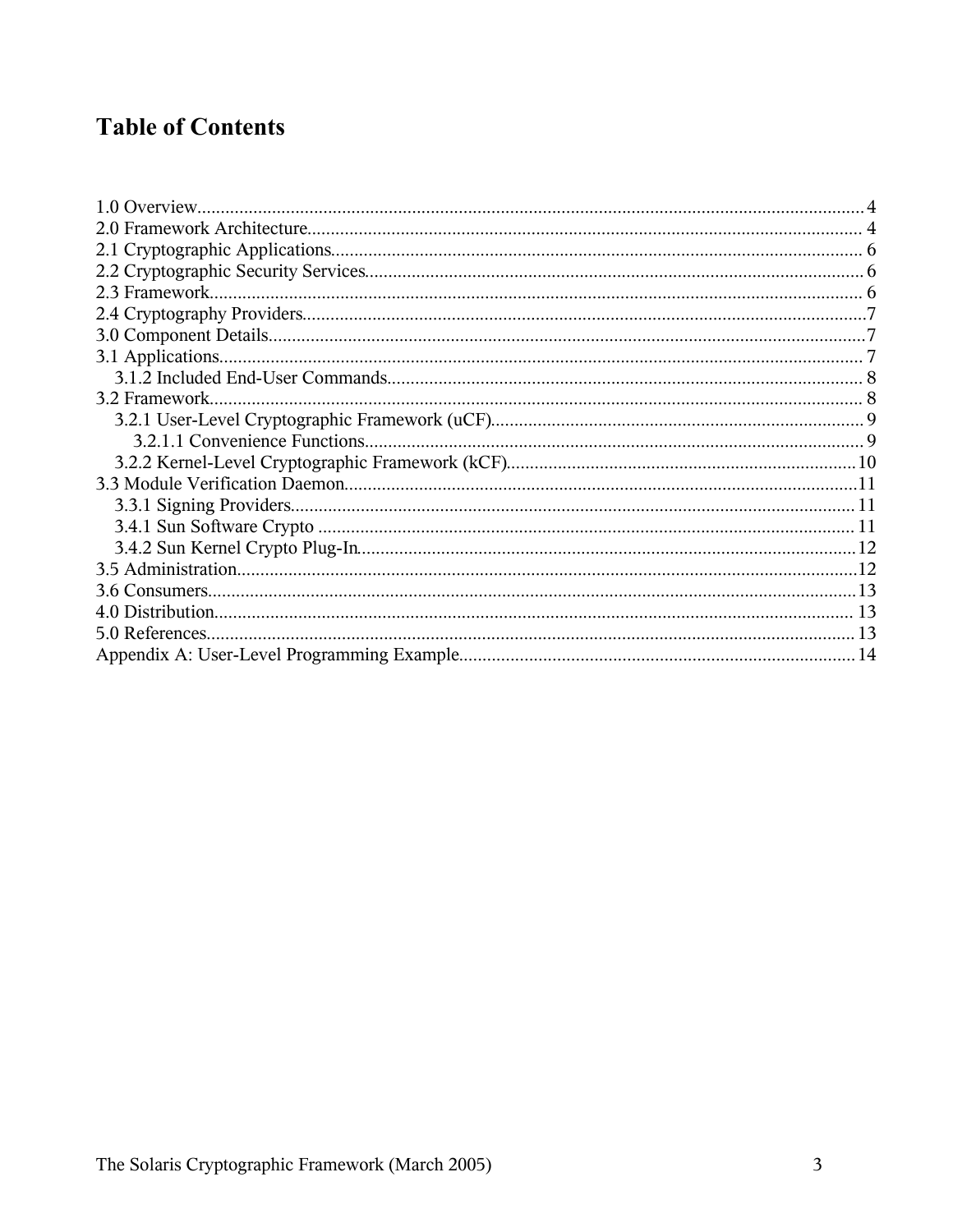# **Table of Contents**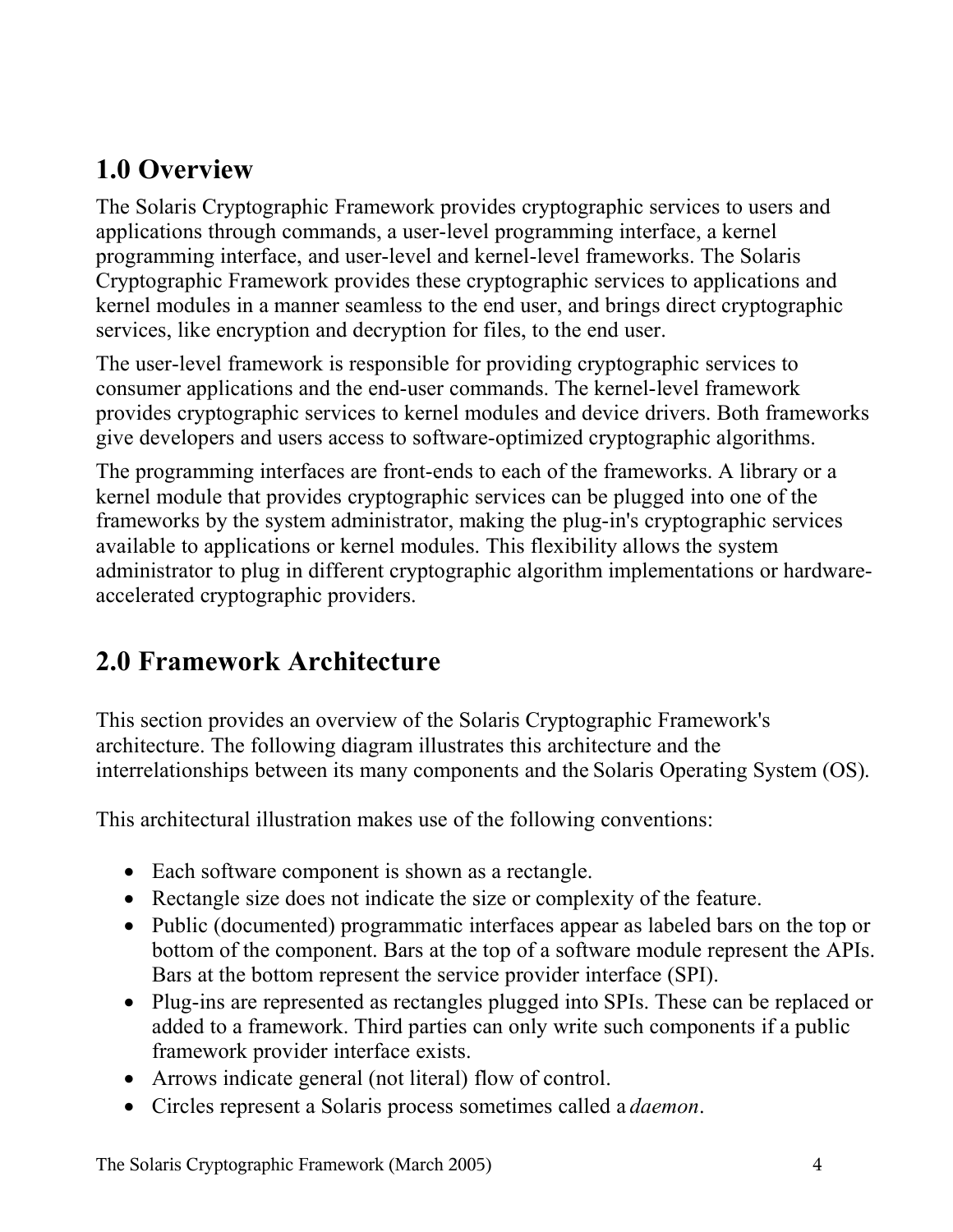# **1.0 Overview**

The Solaris Cryptographic Framework provides cryptographic services to users and applications through commands, a user-level programming interface, a kernel programming interface, and user-level and kernel-level frameworks. The Solaris Cryptographic Framework provides these cryptographic services to applications and kernel modules in a manner seamless to the end user, and brings direct cryptographic services, like encryption and decryption for files, to the end user.

The user-level framework is responsible for providing cryptographic services to consumer applications and the end-user commands. The kernel-level framework provides cryptographic services to kernel modules and device drivers. Both frameworks give developers and users access to software-optimized cryptographic algorithms.

The programming interfaces are front-ends to each of the frameworks. A library or a kernel module that provides cryptographic services can be plugged into one of the frameworks by the system administrator, making the plug-in's cryptographic services available to applications or kernel modules. This flexibility allows the system administrator to plug in different cryptographic algorithm implementations or hardwareaccelerated cryptographic providers.

# **2.0 Framework Architecture**

This section provides an overview of the Solaris Cryptographic Framework's architecture. The following diagram illustrates this architecture and the interrelationships between its many components and the Solaris Operating System (OS).

This architectural illustration makes use of the following conventions:

- Each software component is shown as a rectangle.
- Rectangle size does not indicate the size or complexity of the feature.
- Public (documented) programmatic interfaces appear as labeled bars on the top or bottom of the component. Bars at the top of a software module represent the APIs. Bars at the bottom represent the service provider interface (SPI).
- Plug-ins are represented as rectangles plugged into SPIs. These can be replaced or added to a framework. Third parties can only write such components if a public framework provider interface exists.
- Arrows indicate general (not literal) flow of control.
- Circles represent a Solaris process sometimes called a *daemon*.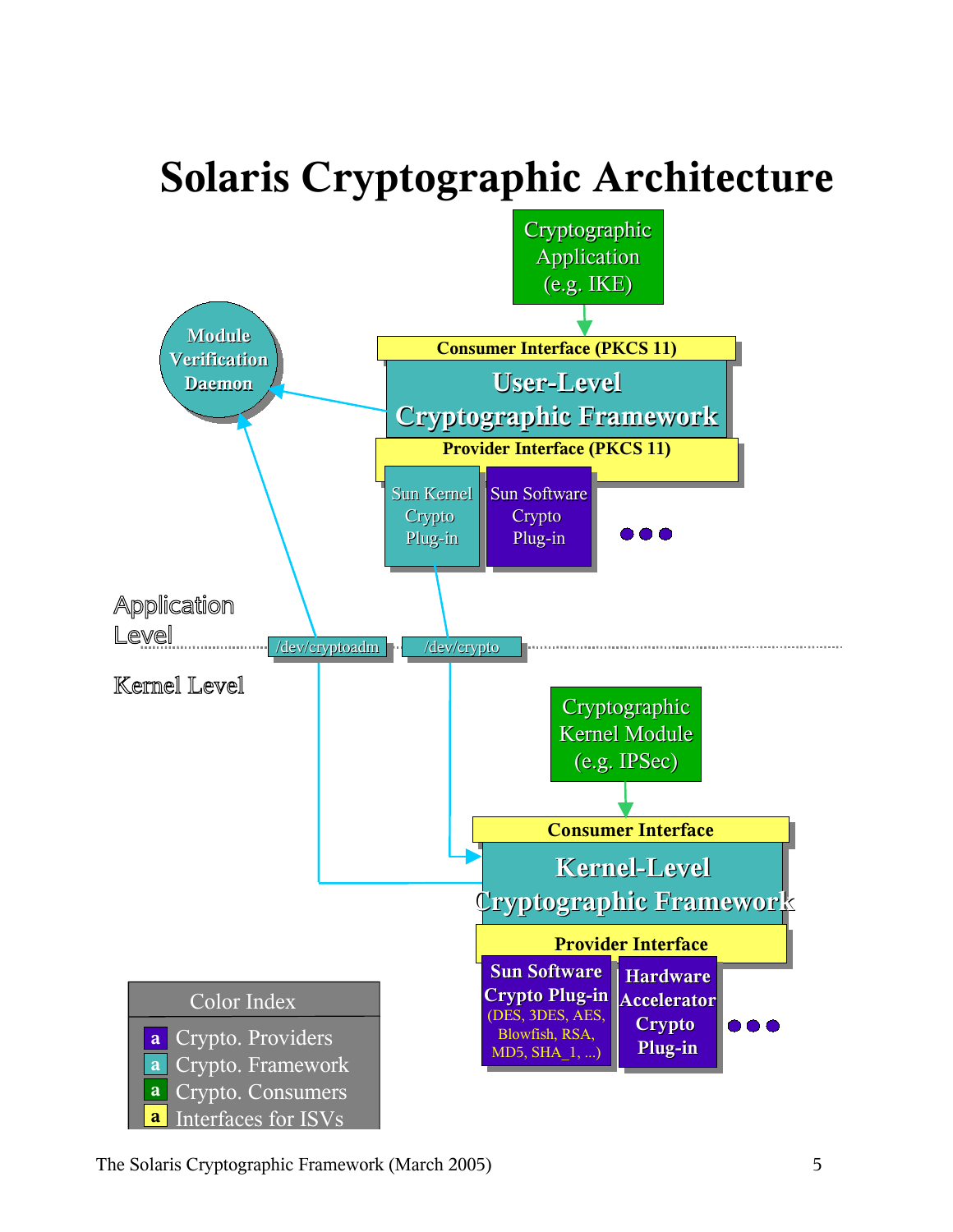# **Solaris Cryptographic Architecture**



The Solaris Cryptographic Framework (March 2005) 5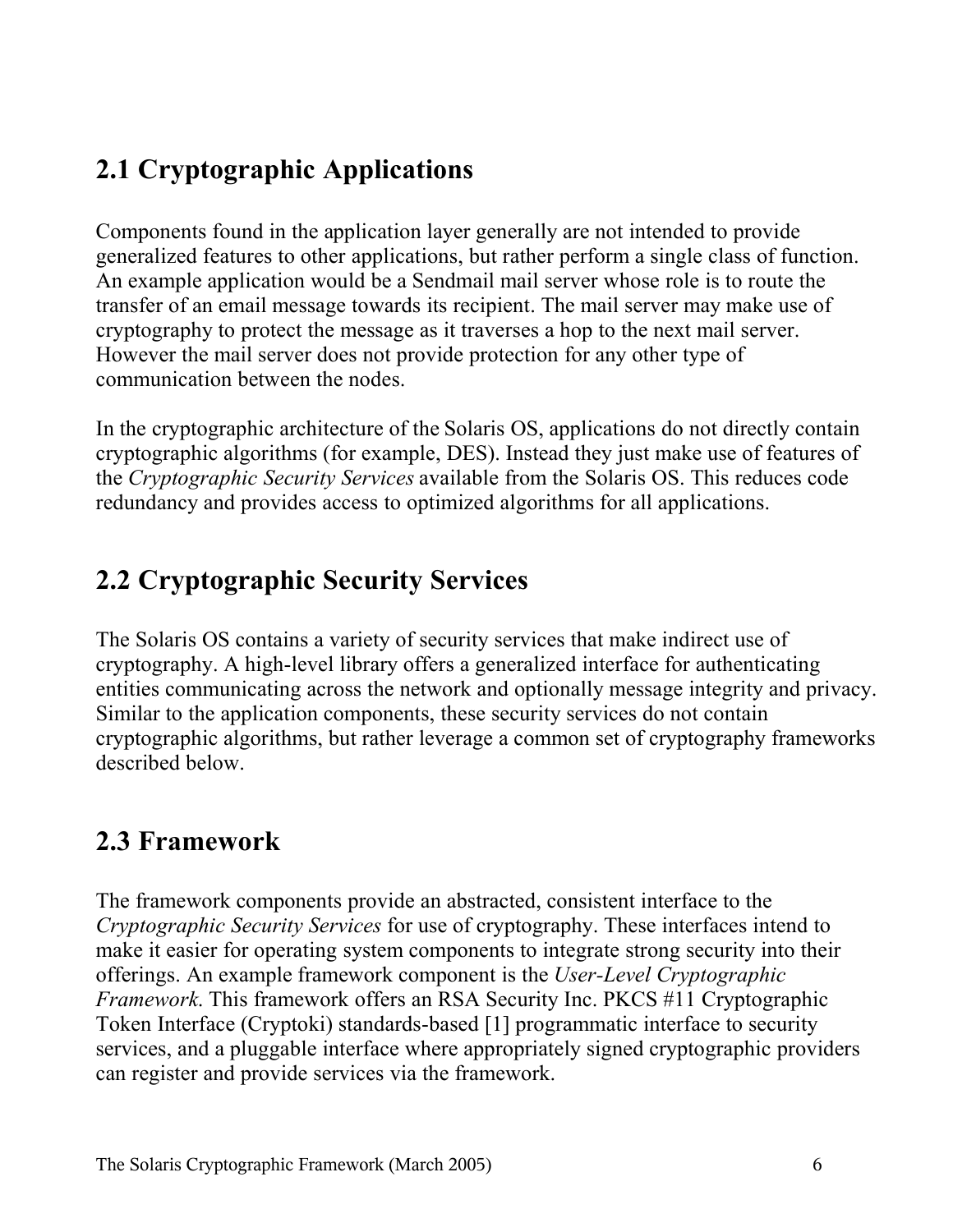# **2.1 Cryptographic Applications**

Components found in the application layer generally are not intended to provide generalized features to other applications, but rather perform a single class of function. An example application would be a Sendmail mail server whose role is to route the transfer of an email message towards its recipient. The mail server may make use of cryptography to protect the message as it traverses a hop to the next mail server. However the mail server does not provide protection for any other type of communication between the nodes.

In the cryptographic architecture of the Solaris OS, applications do not directly contain cryptographic algorithms (for example, DES). Instead they just make use of features of the *Cryptographic Security Services* available from the Solaris OS. This reduces code redundancy and provides access to optimized algorithms for all applications.

# **2.2 Cryptographic Security Services**

The Solaris OS contains a variety of security services that make indirect use of cryptography. A high-level library offers a generalized interface for authenticating entities communicating across the network and optionally message integrity and privacy. Similar to the application components, these security services do not contain cryptographic algorithms, but rather leverage a common set of cryptography frameworks described below.

# **2.3 Framework**

The framework components provide an abstracted, consistent interface to the *Cryptographic Security Services* for use of cryptography. These interfaces intend to make it easier for operating system components to integrate strong security into their offerings. An example framework component is the *User-Level Cryptographic Framework*. This framework offers an RSA Security Inc. PKCS #11 Cryptographic Token Interface (Cryptoki) standards-based [1] programmatic interface to security services, and a pluggable interface where appropriately signed cryptographic providers can register and provide services via the framework.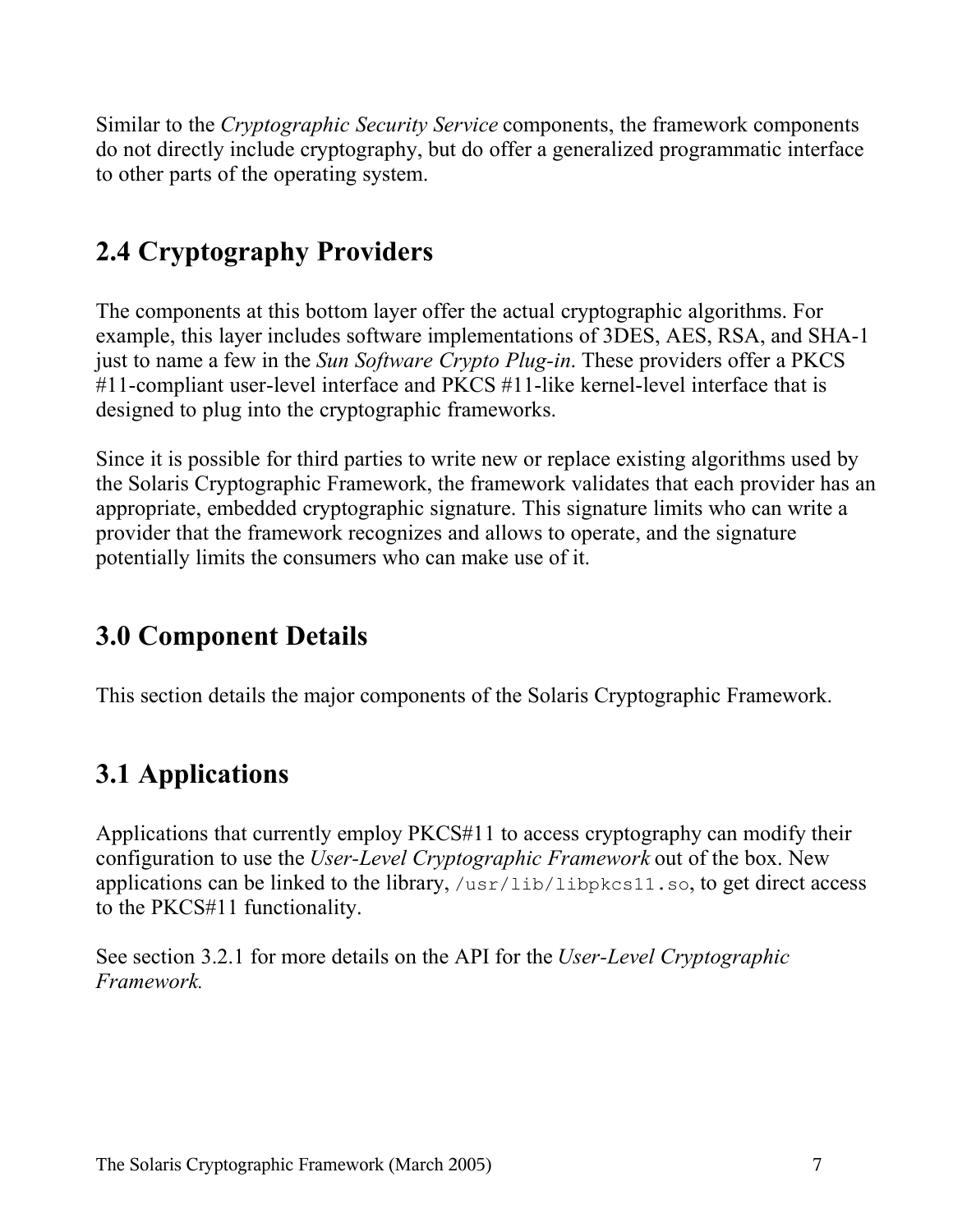Similar to the *Cryptographic Security Service* components, the framework components do not directly include cryptography, but do offer a generalized programmatic interface to other parts of the operating system.

# **2.4 Cryptography Providers**

The components at this bottom layer offer the actual cryptographic algorithms. For example, this layer includes software implementations of 3DES, AES, RSA, and SHA-1 just to name a few in the *Sun Software Crypto Plug-in*. These providers offer a PKCS #11-compliant user-level interface and PKCS #11-like kernel-level interface that is designed to plug into the cryptographic frameworks.

Since it is possible for third parties to write new or replace existing algorithms used by the Solaris Cryptographic Framework, the framework validates that each provider has an appropriate, embedded cryptographic signature. This signature limits who can write a provider that the framework recognizes and allows to operate, and the signature potentially limits the consumers who can make use of it.

# **3.0 Component Details**

This section details the major components of the Solaris Cryptographic Framework.

# **3.1 Applications**

Applications that currently employ PKCS#11 to access cryptography can modify their configuration to use the *User-Level Cryptographic Framework* out of the box. New applications can be linked to the library, /usr/lib/libpkcs11.so, to get direct access to the PKCS#11 functionality.

See section 3.2.1 for more details on the API for the *User-Level Cryptographic Framework.*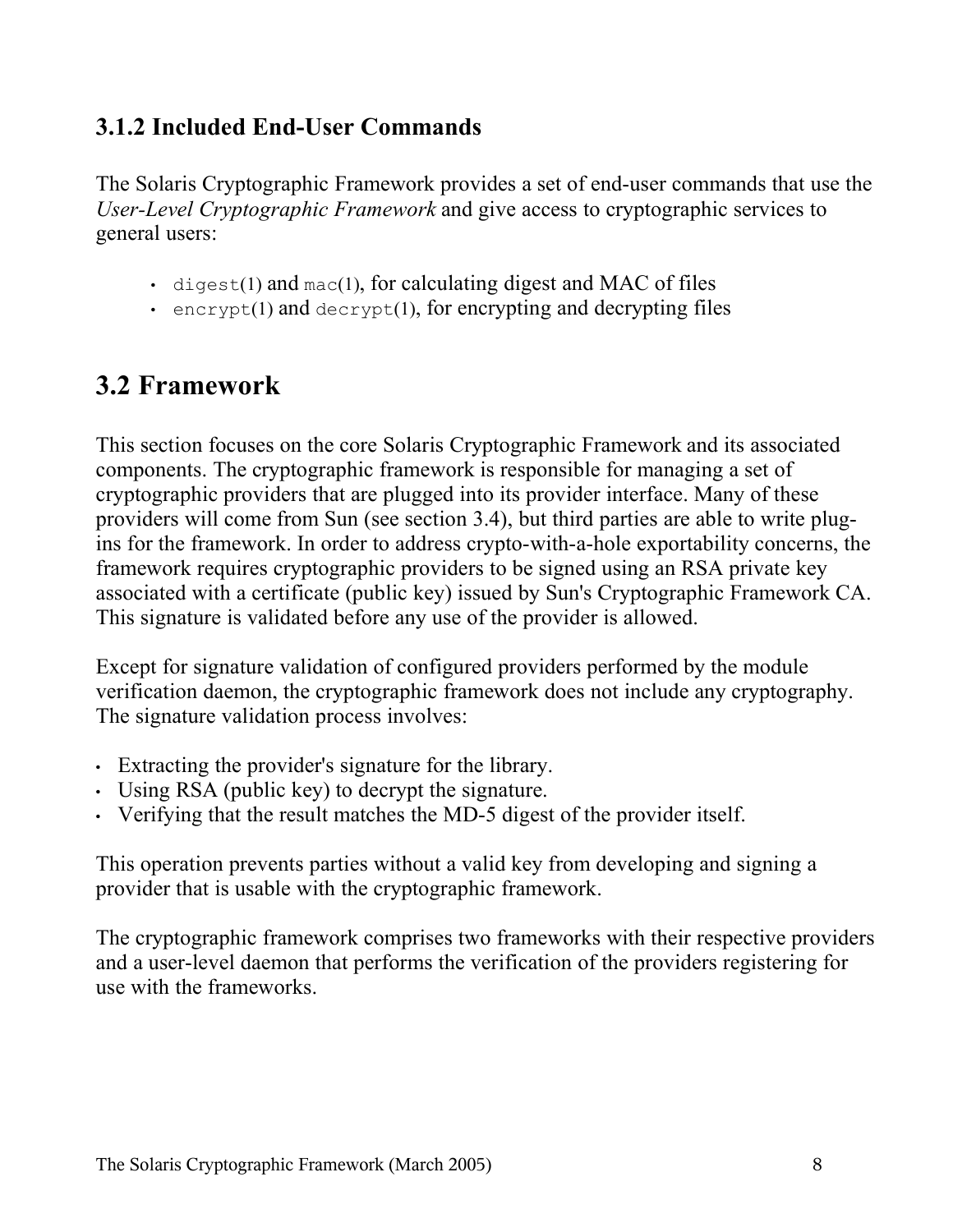#### **3.1.2 Included End-User Commands**

The Solaris Cryptographic Framework provides a set of end-user commands that use the *User-Level Cryptographic Framework* and give access to cryptographic services to general users:

- $\cdot$  digest(1) and mac(1), for calculating digest and MAC of files
- $\cdot$  encrypt(1) and decrypt(1), for encrypting and decrypting files

# **3.2 Framework**

This section focuses on the core Solaris Cryptographic Framework and its associated components. The cryptographic framework is responsible for managing a set of cryptographic providers that are plugged into its provider interface. Many of these providers will come from Sun (see section 3.4), but third parties are able to write plugins for the framework. In order to address crypto-with-a-hole exportability concerns, the framework requires cryptographic providers to be signed using an RSA private key associated with a certificate (public key) issued by Sun's Cryptographic Framework CA. This signature is validated before any use of the provider is allowed.

Except for signature validation of configured providers performed by the module verification daemon, the cryptographic framework does not include any cryptography. The signature validation process involves:

- Extracting the provider's signature for the library.
- Using RSA (public key) to decrypt the signature.
- Verifying that the result matches the MD-5 digest of the provider itself.

This operation prevents parties without a valid key from developing and signing a provider that is usable with the cryptographic framework.

The cryptographic framework comprises two frameworks with their respective providers and a user-level daemon that performs the verification of the providers registering for use with the frameworks.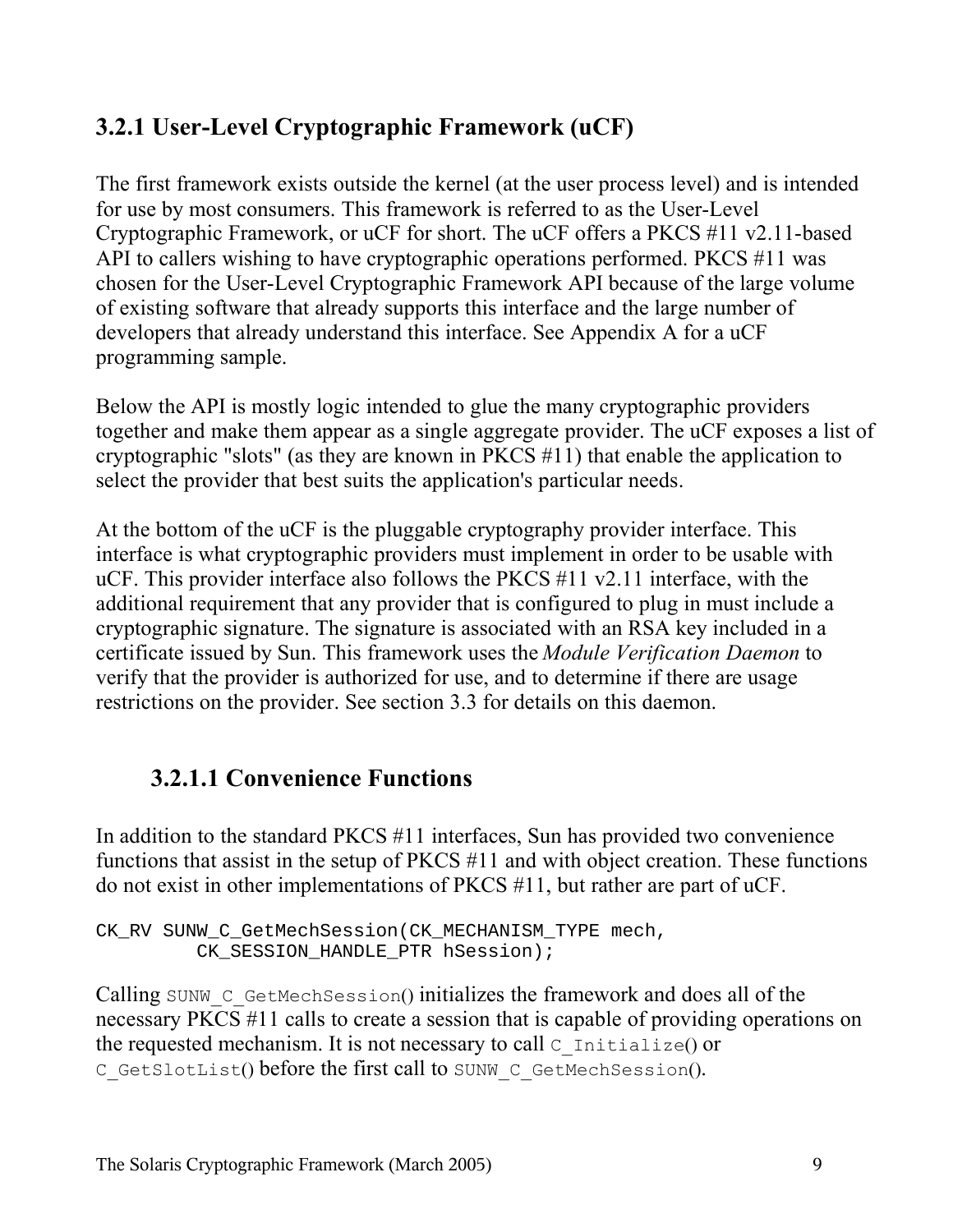#### **3.2.1 User-Level Cryptographic Framework (uCF)**

The first framework exists outside the kernel (at the user process level) and is intended for use by most consumers. This framework is referred to as the User-Level Cryptographic Framework, or uCF for short. The uCF offers a PKCS #11 v2.11-based API to callers wishing to have cryptographic operations performed. PKCS #11 was chosen for the User-Level Cryptographic Framework API because of the large volume of existing software that already supports this interface and the large number of developers that already understand this interface. See Appendix A for a uCF programming sample.

Below the API is mostly logic intended to glue the many cryptographic providers together and make them appear as a single aggregate provider. The uCF exposes a list of cryptographic "slots" (as they are known in PKCS #11) that enable the application to select the provider that best suits the application's particular needs.

At the bottom of the uCF is the pluggable cryptography provider interface. This interface is what cryptographic providers must implement in order to be usable with uCF. This provider interface also follows the PKCS #11 v2.11 interface, with the additional requirement that any provider that is configured to plug in must include a cryptographic signature. The signature is associated with an RSA key included in a certificate issued by Sun. This framework uses the *Module Verification Daemon* to verify that the provider is authorized for use, and to determine if there are usage restrictions on the provider. See section 3.3 for details on this daemon.

#### **3.2.1.1 Convenience Functions**

In addition to the standard PKCS #11 interfaces, Sun has provided two convenience functions that assist in the setup of PKCS #11 and with object creation. These functions do not exist in other implementations of PKCS #11, but rather are part of uCF.

```
CK_RV SUNW_C_GetMechSession(CK_MECHANISM_TYPE mech,
         CK SESSION HANDLE PTR hSession);
```
Calling SUNW C GetMechSession() initializes the framework and does all of the necessary PKCS #11 calls to create a session that is capable of providing operations on the requested mechanism. It is not necessary to call  $\text{C}$  Initialize() or C GetSlotList() before the first call to SUNW C GetMechSession().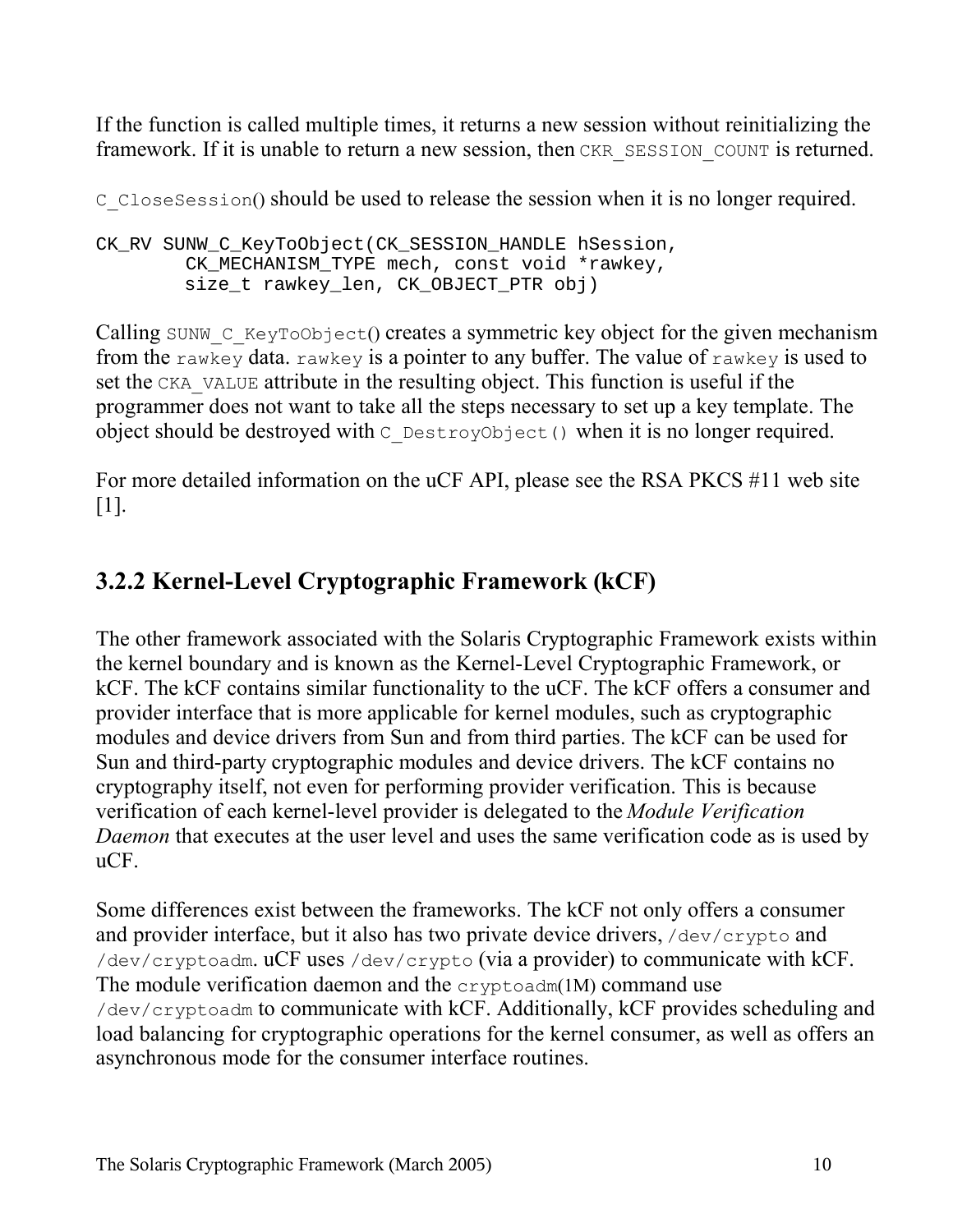If the function is called multiple times, it returns a new session without reinitializing the framework. If it is unable to return a new session, then CKR\_SESSION\_COUNT is returned.

C\_CloseSession() should be used to release the session when it is no longer required.

```
CK_RV SUNW_C_KeyToObject(CK_SESSION_HANDLE hSession,
         CK_MECHANISM_TYPE mech, const void *rawkey, 
         size_t rawkey_len, CK_OBJECT_PTR obj)
```
Calling SUNW  $\,$  C\_KeyToObject() creates a symmetric key object for the given mechanism from the rawkey data. rawkey is a pointer to any buffer. The value of rawkey is used to set the CKA\_VALUE attribute in the resulting object. This function is useful if the programmer does not want to take all the steps necessary to set up a key template. The object should be destroyed with  $\subset$  DestroyObject() when it is no longer required.

For more detailed information on the uCF API, please see the RSA PKCS #11 web site [1].

#### **3.2.2 Kernel-Level Cryptographic Framework (kCF)**

The other framework associated with the Solaris Cryptographic Framework exists within the kernel boundary and is known as the Kernel-Level Cryptographic Framework, or kCF. The kCF contains similar functionality to the uCF. The kCF offers a consumer and provider interface that is more applicable for kernel modules, such as cryptographic modules and device drivers from Sun and from third parties. The kCF can be used for Sun and third-party cryptographic modules and device drivers. The kCF contains no cryptography itself, not even for performing provider verification. This is because verification of each kernel-level provider is delegated to the *Module Verification Daemon* that executes at the user level and uses the same verification code as is used by uCF.

Some differences exist between the frameworks. The kCF not only offers a consumer and provider interface, but it also has two private device drivers, /dev/crypto and /dev/cryptoadm. uCF uses /dev/crypto (via a provider) to communicate with kCF. The module verification daemon and the cryptoadm(1M) command use /dev/cryptoadm to communicate with kCF. Additionally, kCF provides scheduling and load balancing for cryptographic operations for the kernel consumer, as well as offers an asynchronous mode for the consumer interface routines.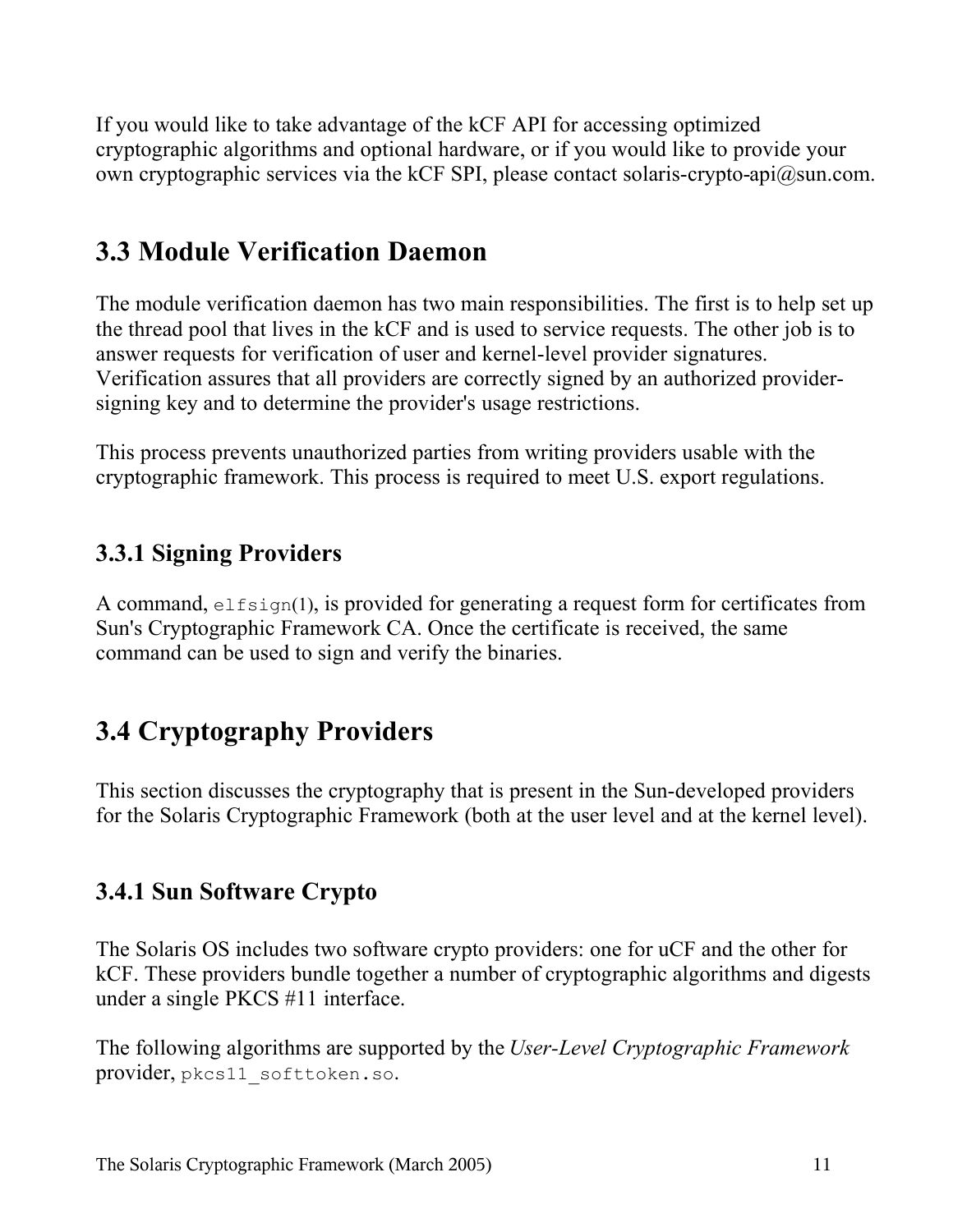If you would like to take advantage of the kCF API for accessing optimized cryptographic algorithms and optional hardware, or if you would like to provide your own cryptographic services via the kCF SPI, please contact solaris-crypto-api $@$ sun.com.

# **3.3 Module Verification Daemon**

The module verification daemon has two main responsibilities. The first is to help set up the thread pool that lives in the kCF and is used to service requests. The other job is to answer requests for verification of user and kernel-level provider signatures. Verification assures that all providers are correctly signed by an authorized providersigning key and to determine the provider's usage restrictions.

This process prevents unauthorized parties from writing providers usable with the cryptographic framework. This process is required to meet U.S. export regulations.

#### **3.3.1 Signing Providers**

A command, elfsign(1), is provided for generating a request form for certificates from Sun's Cryptographic Framework CA. Once the certificate is received, the same command can be used to sign and verify the binaries.

# **3.4 Cryptography Providers**

This section discusses the cryptography that is present in the Sun-developed providers for the Solaris Cryptographic Framework (both at the user level and at the kernel level).

#### **3.4.1 Sun Software Crypto**

The Solaris OS includes two software crypto providers: one for uCF and the other for kCF. These providers bundle together a number of cryptographic algorithms and digests under a single PKCS #11 interface.

The following algorithms are supported by the *User-Level Cryptographic Framework* provider, pkcs11\_softtoken.so.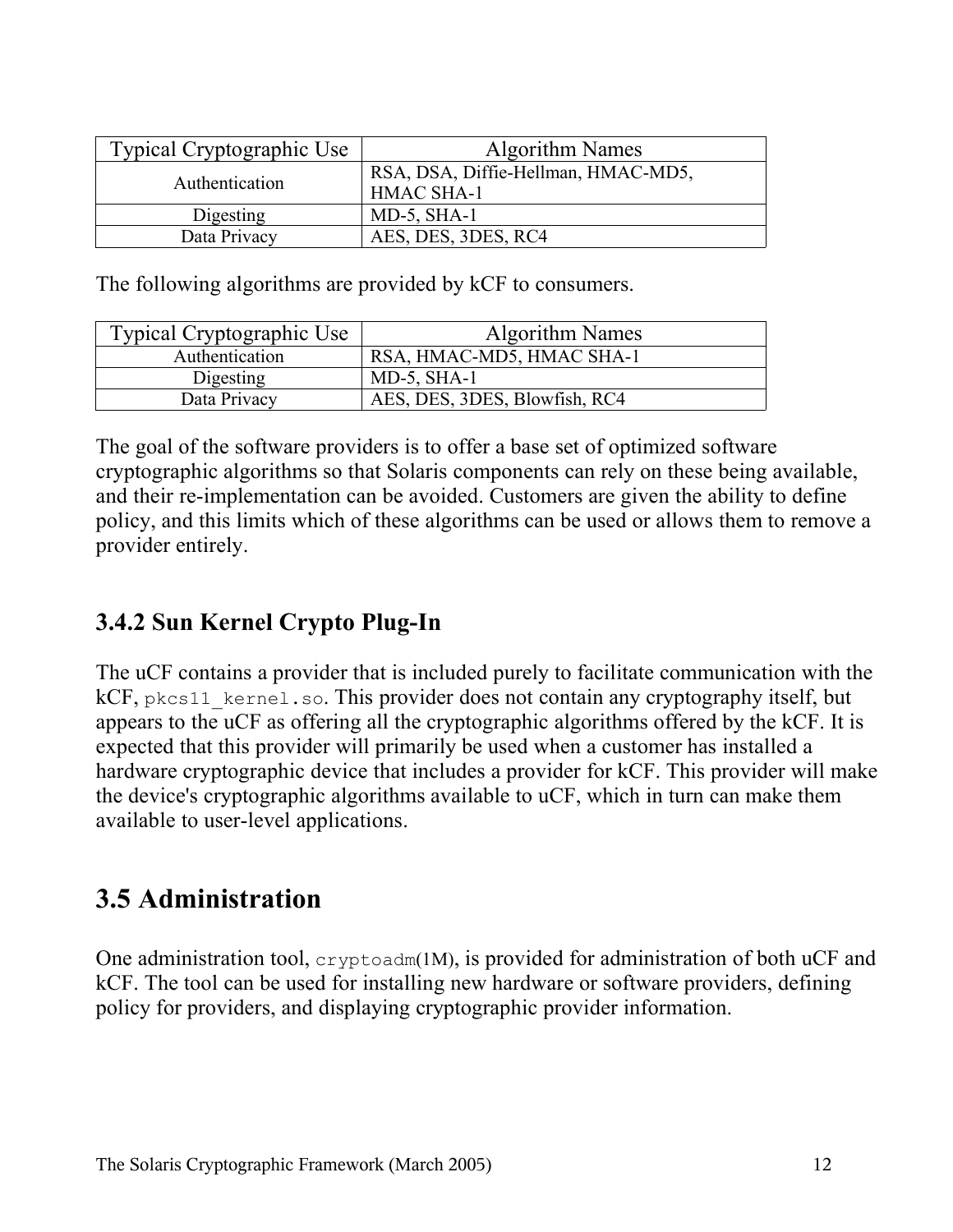| <b>Typical Cryptographic Use</b> | <b>Algorithm Names</b>                                   |
|----------------------------------|----------------------------------------------------------|
| Authentication                   | RSA, DSA, Diffie-Hellman, HMAC-MD5,<br><b>HMAC SHA-1</b> |
| Digesting                        | $MD-5$ , $SHA-1$                                         |
| Data Privacy                     | AES, DES, 3DES, RC4                                      |

The following algorithms are provided by kCF to consumers.

| <b>Typical Cryptographic Use</b> | <b>Algorithm Names</b>        |
|----------------------------------|-------------------------------|
| Authentication                   | RSA, HMAC-MD5, HMAC SHA-1     |
| Digesting                        | $MD-5$ , $SHA-1$              |
| Data Privacy                     | AES, DES, 3DES, Blowfish, RC4 |

The goal of the software providers is to offer a base set of optimized software cryptographic algorithms so that Solaris components can rely on these being available, and their re-implementation can be avoided. Customers are given the ability to define policy, and this limits which of these algorithms can be used or allows them to remove a provider entirely.

#### **3.4.2 Sun Kernel Crypto Plug-In**

The uCF contains a provider that is included purely to facilitate communication with the kCF, pkcs11 kernel.so. This provider does not contain any cryptography itself, but appears to the uCF as offering all the cryptographic algorithms offered by the kCF. It is expected that this provider will primarily be used when a customer has installed a hardware cryptographic device that includes a provider for kCF. This provider will make the device's cryptographic algorithms available to uCF, which in turn can make them available to user-level applications.

# **3.5 Administration**

One administration tool, cryptoadm(1M), is provided for administration of both uCF and kCF. The tool can be used for installing new hardware or software providers, defining policy for providers, and displaying cryptographic provider information.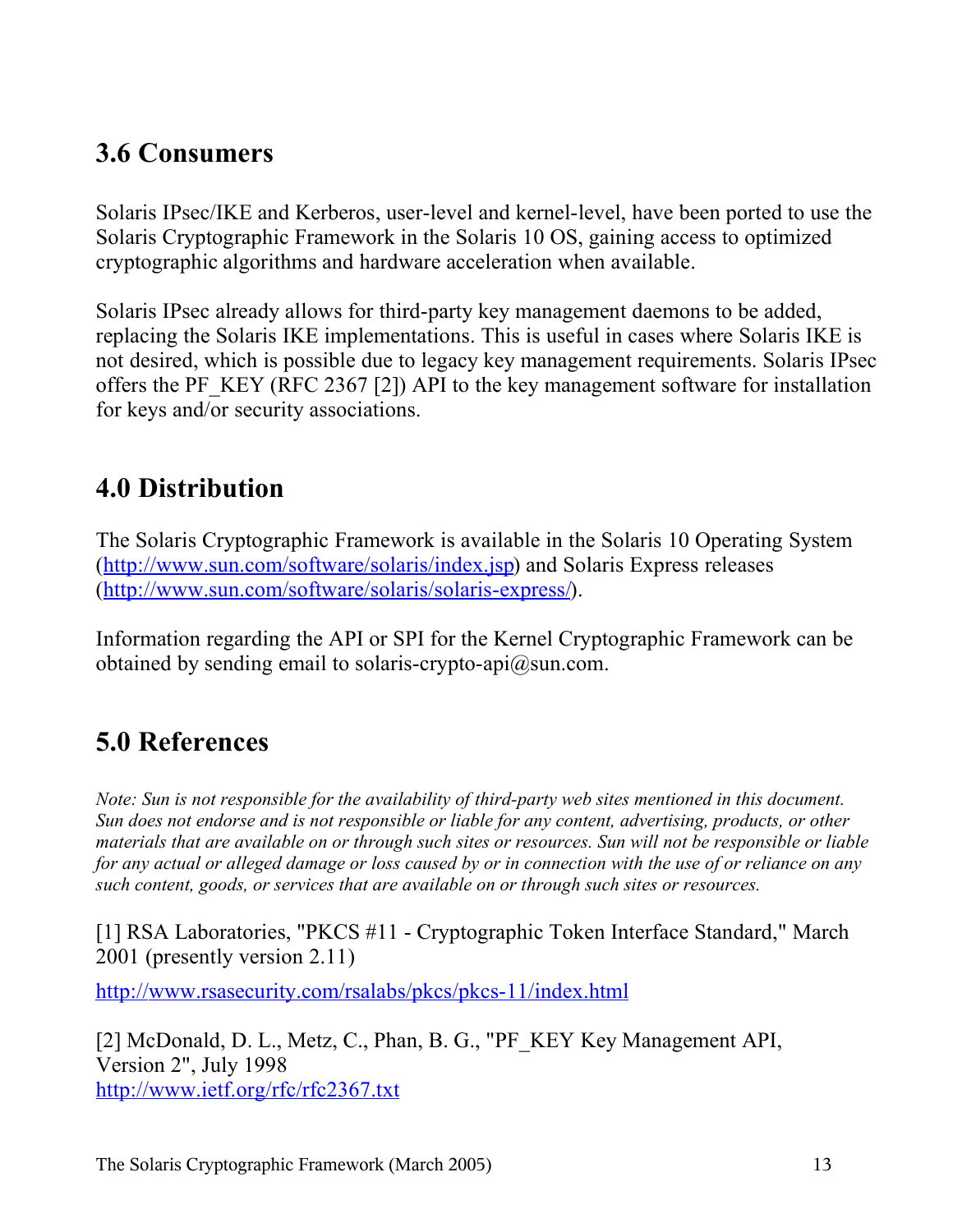# **3.6 Consumers**

Solaris IPsec/IKE and Kerberos, user-level and kernel-level, have been ported to use the Solaris Cryptographic Framework in the Solaris 10 OS, gaining access to optimized cryptographic algorithms and hardware acceleration when available.

Solaris IPsec already allows for third-party key management daemons to be added, replacing the Solaris IKE implementations. This is useful in cases where Solaris IKE is not desired, which is possible due to legacy key management requirements. Solaris IPsec offers the PF\_KEY (RFC 2367 [2]) API to the key management software for installation for keys and/or security associations.

# **4.0 Distribution**

The Solaris Cryptographic Framework is available in the Solaris 10 Operating System (http://www.sun.com/software/solaris/index.jsp) and Solaris Express releases (http://www.sun.com/software/solaris/solaris-express/).

Information regarding the API or SPI for the Kernel Cryptographic Framework can be obtained by sending email to solaris-crypto-api $(\partial_s$ sun.com.

# **5.0 References**

*Note: Sun is not responsible for the availability of third-party web sites mentioned in this document. Sun does not endorse and is not responsible or liable for any content, advertising, products, or other materials that are available on or through such sites or resources. Sun will not be responsible or liable for any actual or alleged damage or loss caused by or in connection with the use of or reliance on any such content, goods, or services that are available on or through such sites or resources.*

[1] RSA Laboratories, "PKCS #11 - Cryptographic Token Interface Standard," March 2001 (presently version 2.11)

http://www.rsa security.com/rsalabs/pkcs/pkcs-11/index.html

[2] McDonald, D. L., Metz, C., Phan, B. G., "PF\_KEY Key Management API, Version 2", July 1998 http://www.ietf.org/rfc/rfc2367.txt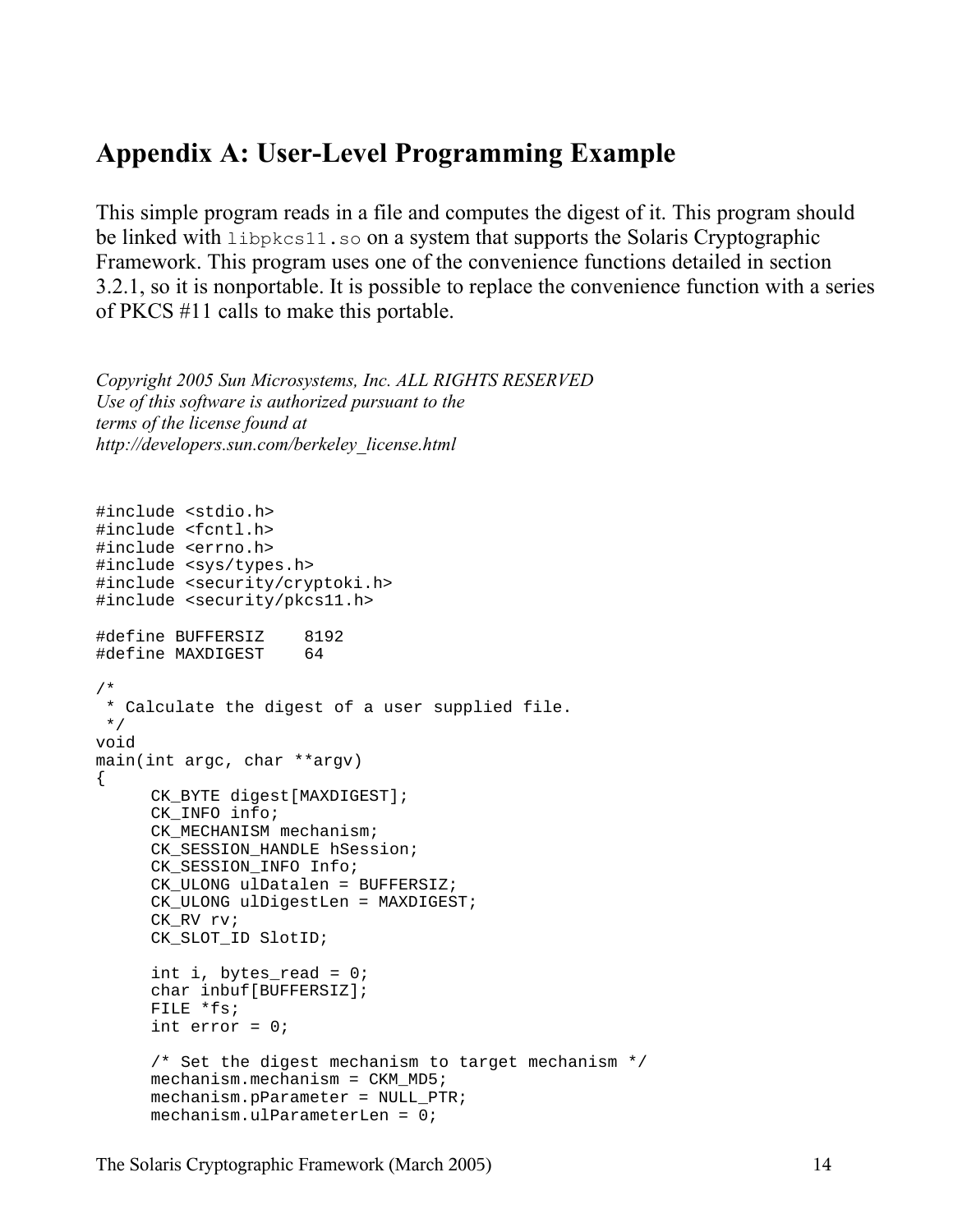#### **Appendix A: User-Level Programming Example**

This simple program reads in a file and computes the digest of it. This program should be linked with libpkcs11.so on a system that supports the Solaris Cryptographic Framework. This program uses one of the convenience functions detailed in section 3.2.1, so it is nonportable. It is possible to replace the convenience function with a series of PKCS #11 calls to make this portable.

```
Copyright 2005 Sun Microsystems, Inc. ALL RIGHTS RESERVED
Use of this software is authorized pursuant to the
terms of the license found at
http://developers.sun.com/berkeley_license.html
#include <stdio.h>
#include <fcntl.h>
```

```
#include <errno.h>
#include <sys/types.h>
#include <security/cryptoki.h>
#include <security/pkcs11.h>
#define BUFFERSIZ 8192
#define MAXDIGEST 64
/*
 * Calculate the digest of a user supplied file.
*/
void
main(int argc, char **argv)
{
     CK_BYTE digest[MAXDIGEST];
     CK_INFO info;
     CK MECHANISM mechanism;
     CK SESSION HANDLE hSession;
     CK SESSION INFO Info;
     CK_ULONG ulDatalen = BUFFERSIZ;
     CK ULONG ulDigestLen = MAXDIGEST;
     CK_RV rv;
     CK SLOT ID SlotID;
     int i, bytes_read = 0;
     char inbuf[BUFFERSIZ];
     FILE *fs;
     int error = 0;
     /* Set the digest mechanism to target mechanism */
     mechanism.mechanism = CKM MD5;
     mechanism.pParameter = NULL_PTR;
     mechanism.ulParameterLen = 0;
```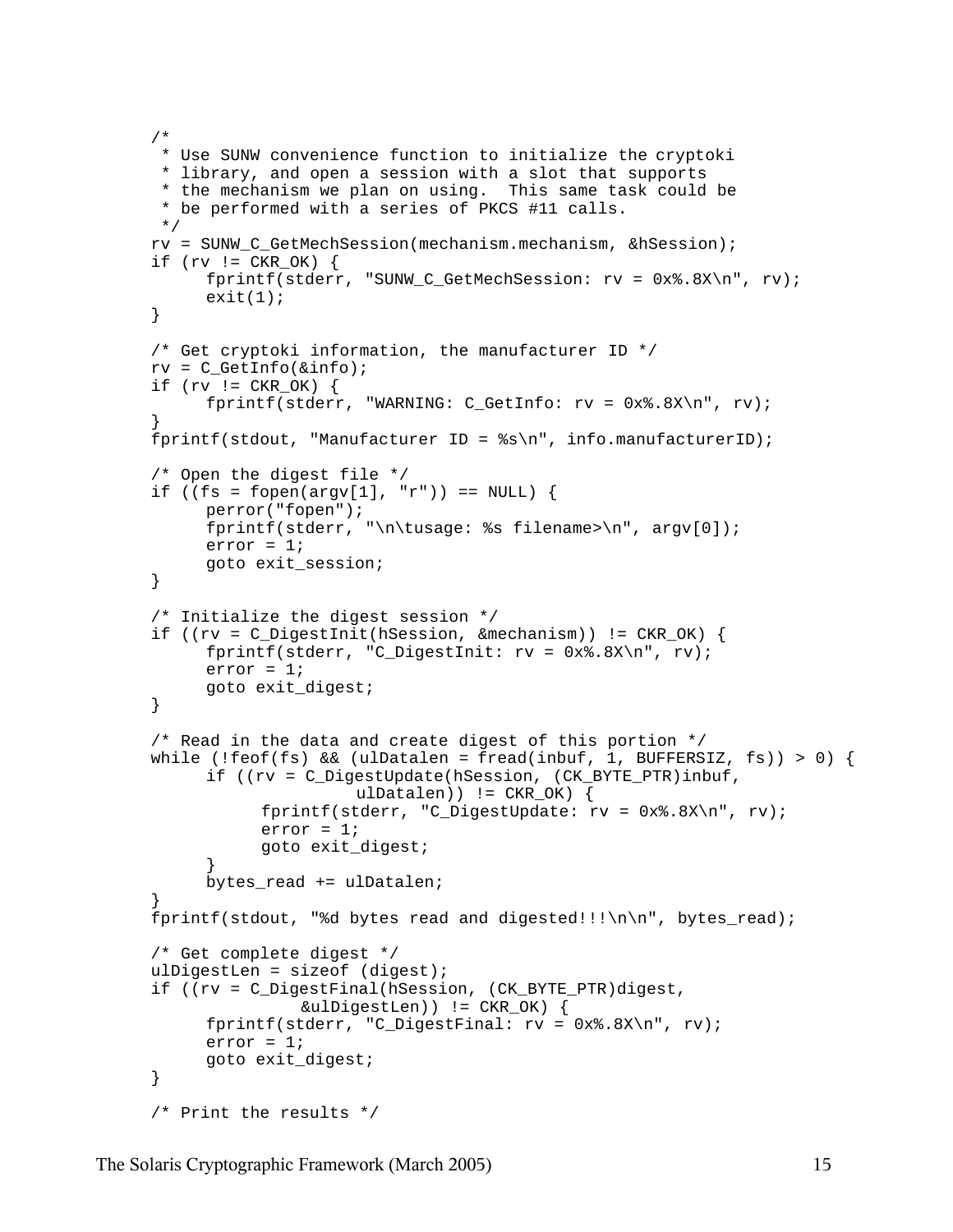```
/*
 * Use SUNW convenience function to initialize the cryptoki
* library, and open a session with a slot that supports
 * the mechanism we plan on using. This same task could be
 * be performed with a series of PKCS #11 calls.
*/
rv = SUNW_C_GetMechSession(mechanism.mechanism, &hSession);
if (rv != CKR OK) {
     fprintf(stderr, "SUNW_C_GetMechSession: rv = 0x%.8X\n", rv);
     exit(1);}
/* Get cryptoki information, the manufacturer ID */
rv = C_GetInfo(&info);
if (rv := CKR_OK) {
     fprintf(stderr, "WARNING: C_GetInfo: rv = 0x%.8X\n", rv);
}
fprintf(stdout, "Manufacturer ID = \gamma \in \Gamma, info.manufacturerID);
/* Open the digest file */
if ((fs = fopen(argv[1], "r")) == NULL) {
     perror("fopen");
     fprintf(stderr, "\n\tusage: %s filename>\n", argv[0]);
     error = 1;goto exit_session;
}
/* Initialize the digest session */
if ((rv = C_DigestInit(hSession, &mechanism)) != CKR_OK) {
     fprintf(stderr, "C_DigestInit: rv = 0x\.8X\n", rv);
     error = 1;goto exit_digest;
}
/* Read in the data and create digest of this portion */
while (!feof(fs) && (ulDatalen = fread(inbuf, 1, BUFFERSIZ, fs)) > 0) {
     if ((rv = C_DigestUpdate(hSession, (CK_BYTE_PTR)inbuf,
                      ulDatalen)) != CKR_OK) {
           fprintf(stderr, "C_DigestUpdate: rv = 0x%.8X\n", rv);
           error = 1;
           goto exit_digest;
      }
     bytes read += ulDatalen;
}
fprintf(stdout, "%d bytes read and digested!!!\n\n", bytes read);
/* Get complete digest */
ulDigestLen = sizeof (digest);
if ((rv = C_DigestFinal(hSession, (CK_BYTE_PTR)digest,
                &ulDigestLen)) != CKR_OK) {
     fprintf(stderr, "C_DigestFinal: rv = 0x%.8X\n", rv);
     error = 1;
     goto exit_digest;
}
/* Print the results */
```